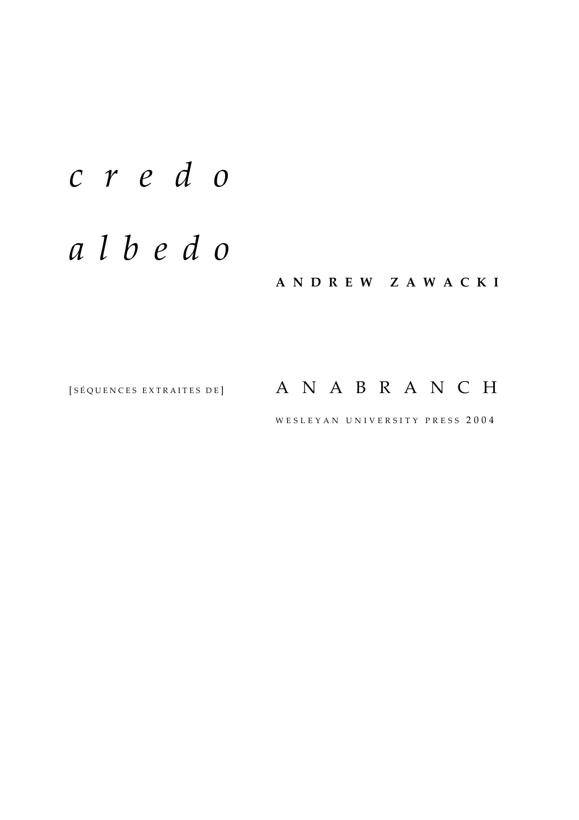# *c r e d o*

## *a l b e d o*

**A N D R E W Z A W A C K I**

### [SÉQUENCES EXTRAITES DE]  $A \ N A B R A N C H$

WESLEYAN UNIVERSITY PRESS 2004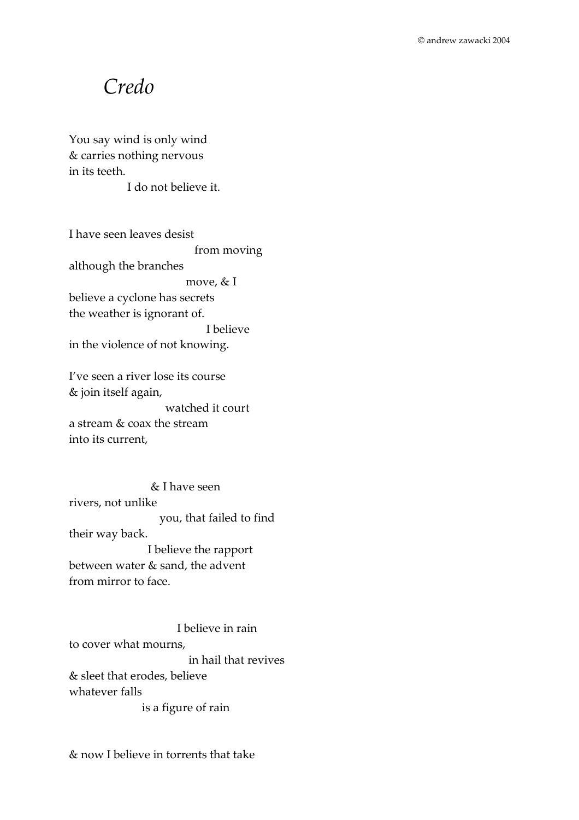### *Credo*

You say wind is only wind & carries nothing nervous in its teeth.

I do not believe it.

I have seen leaves desist from moving although the branches move, & I believe a cyclone has secrets the weather is ignorant of. I believe in the violence of not knowing.

I've seen a river lose its course & join itself again, watched it court a stream & coax the stream into its current,

 & I have seen rivers, not unlike you, that failed to find their way back. I believe the rapport between water & sand, the advent from mirror to face.

 I believe in rain to cover what mourns, in hail that revives & sleet that erodes, believe whatever falls is a figure of rain

& now I believe in torrents that take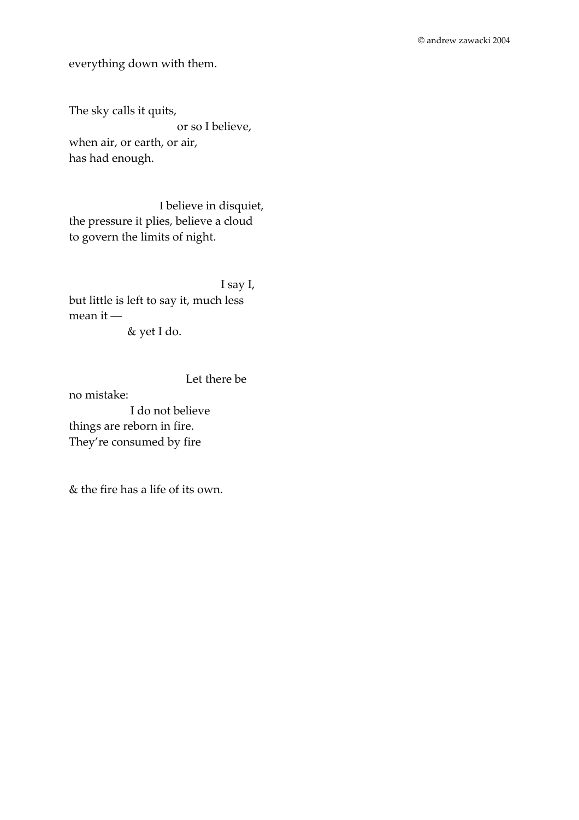everything down with them.

The sky calls it quits, or so I believe, when air, or earth, or air, has had enough.

 I believe in disquiet, the pressure it plies, believe a cloud to govern the limits of night.

 I say I, but little is left to say it, much less mean it ― & yet I do.

 Let there be no mistake: I do not believe things are reborn in fire. They're consumed by fire

& the fire has a life of its own.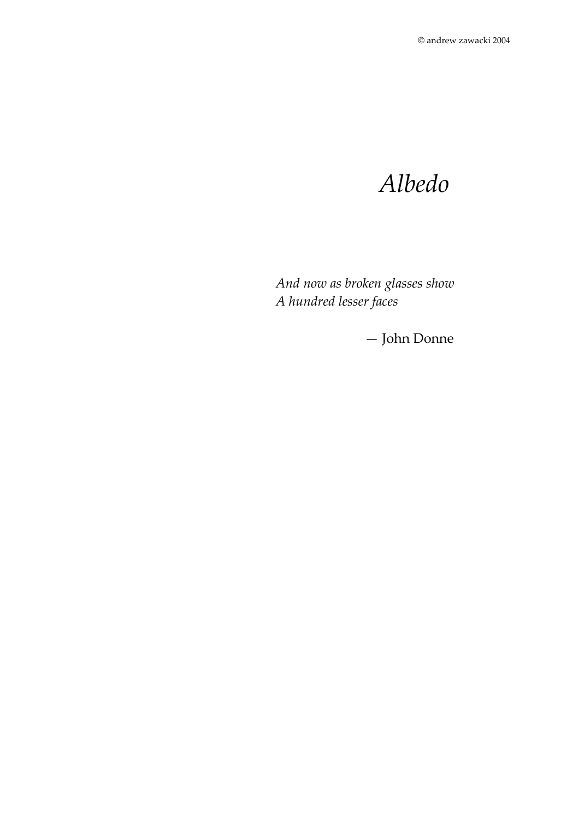## *Albedo*

*And now as broken glasses show A hundred lesser faces* 

— John Donne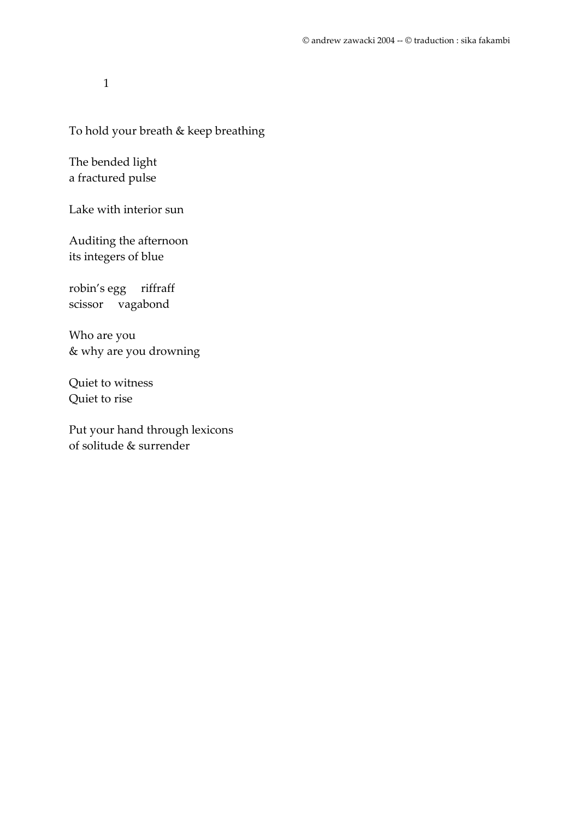#### To hold your breath & keep breathing

The bended light a fractured pulse

Lake with interior sun

Auditing the afternoon its integers of blue

robin's egg riffraff scissor vagabond

Who are you & why are you drowning

Quiet to witness Quiet to rise

Put your hand through lexicons of solitude & surrender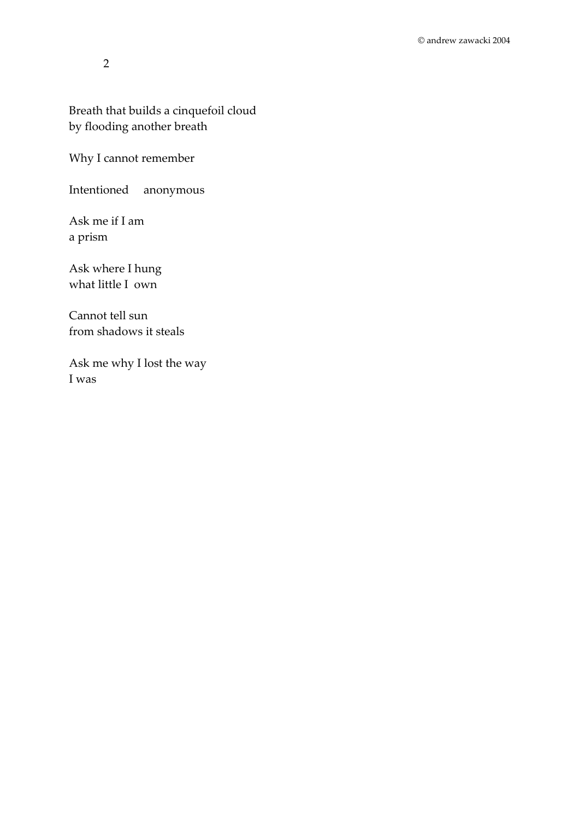Breath that builds a cinquefoil cloud by flooding another breath

Why I cannot remember

Intentioned anonymous

Ask me if I am a prism

Ask where I hung what little I own

Cannot tell sun from shadows it steals

Ask me why I lost the way I was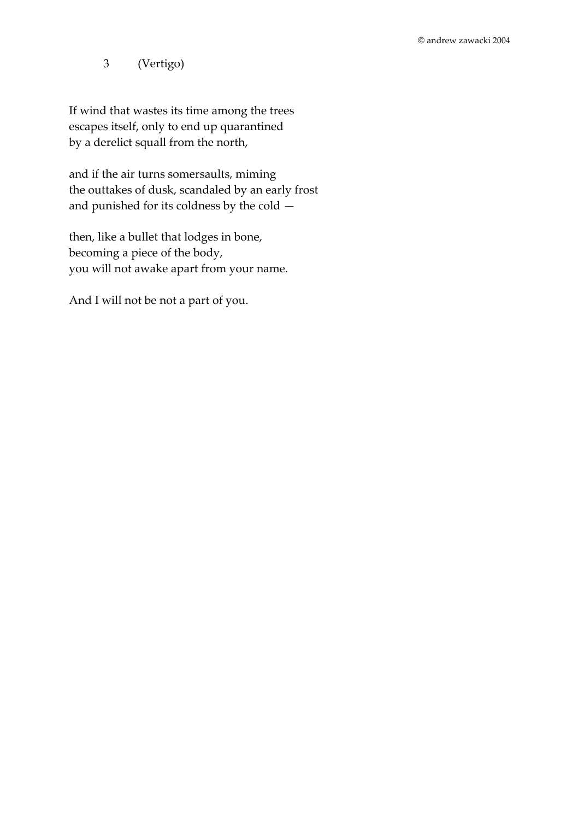3 (Vertigo)

If wind that wastes its time among the trees escapes itself, only to end up quarantined by a derelict squall from the north,

and if the air turns somersaults, miming the outtakes of dusk, scandaled by an early frost and punished for its coldness by the cold —

then, like a bullet that lodges in bone, becoming a piece of the body, you will not awake apart from your name.

And I will not be not a part of you.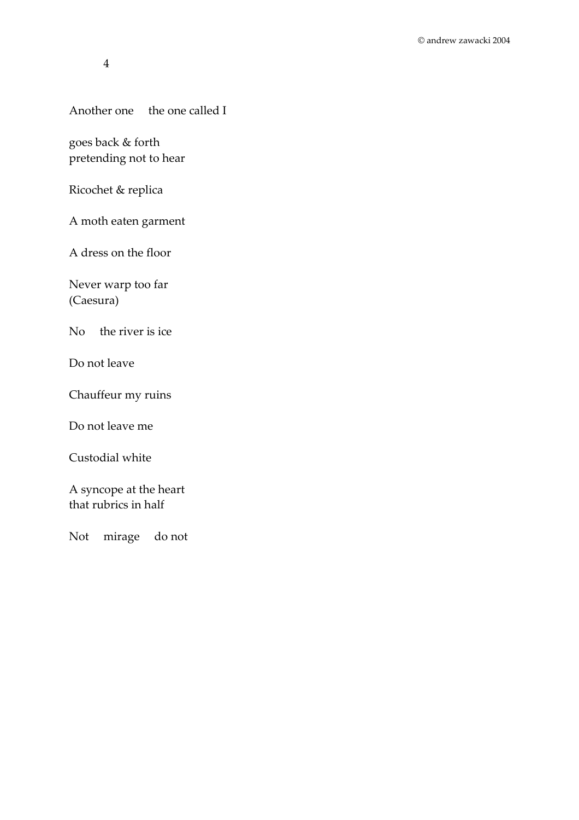#### Another one the one called I

goes back & forth pretending not to hear

Ricochet & replica

A moth eaten garment

A dress on the floor

Never warp too far (Caesura)

No the river is ice

Do not leave

Chauffeur my ruins

Do not leave me

Custodial white

A syncope at the heart that rubrics in half

Not mirage do not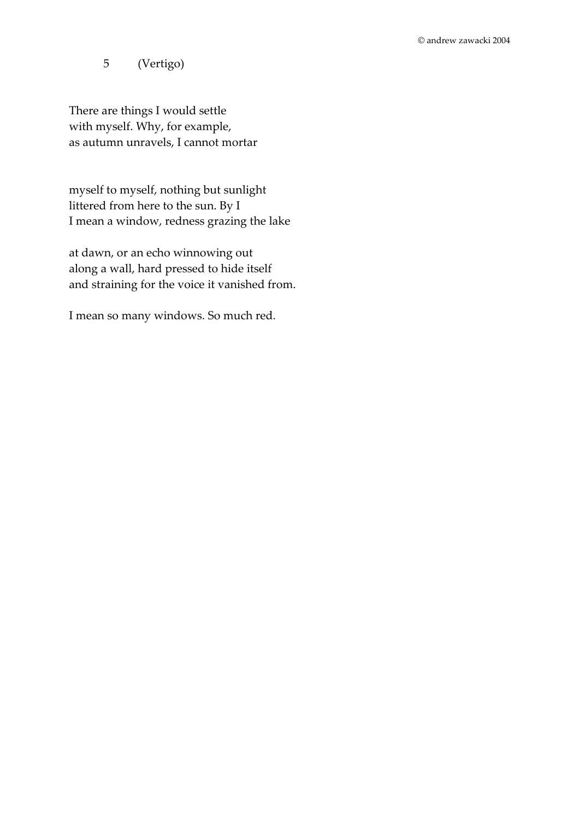5 (Vertigo)

There are things I would settle with myself. Why, for example, as autumn unravels, I cannot mortar

myself to myself, nothing but sunlight littered from here to the sun. By I I mean a window, redness grazing the lake

at dawn, or an echo winnowing out along a wall, hard pressed to hide itself and straining for the voice it vanished from.

I mean so many windows. So much red.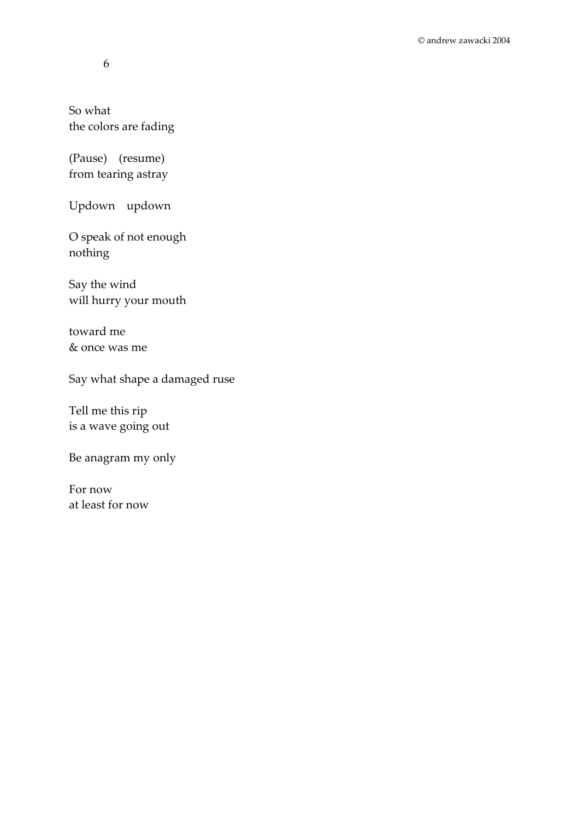So what the colors are fading

(Pause) (resume) from tearing astray

Updown updown

O speak of not enough nothing

Say the wind will hurry your mouth

toward me & once was me

Say what shape a damaged ruse

Tell me this rip is a wave going out

Be anagram my only

For now at least for now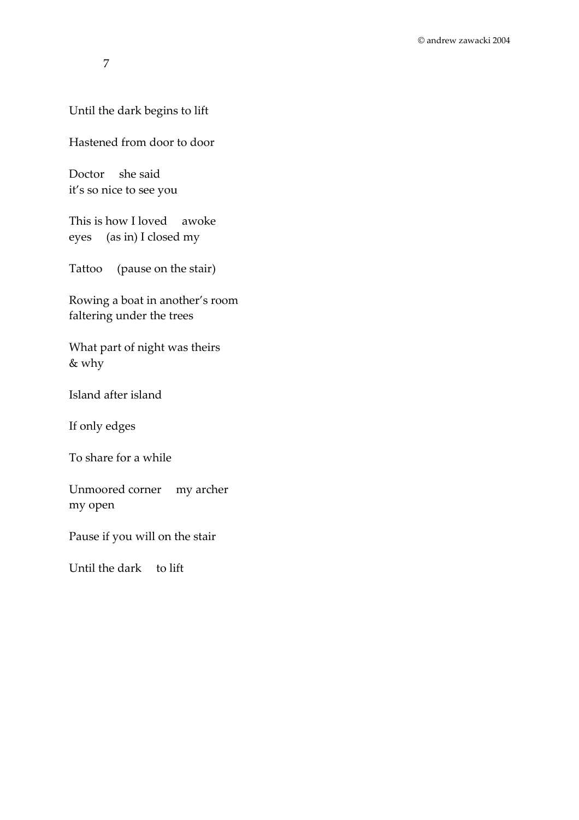#### Until the dark begins to lift

Hastened from door to door

Doctor she said it's so nice to see you

This is how I loved awoke eyes (as in) I closed my

Tattoo (pause on the stair)

Rowing a boat in another's room faltering under the trees

What part of night was theirs & why

Island after island

If only edges

To share for a while

Unmoored corner my archer my open

Pause if you will on the stair

Until the dark to lift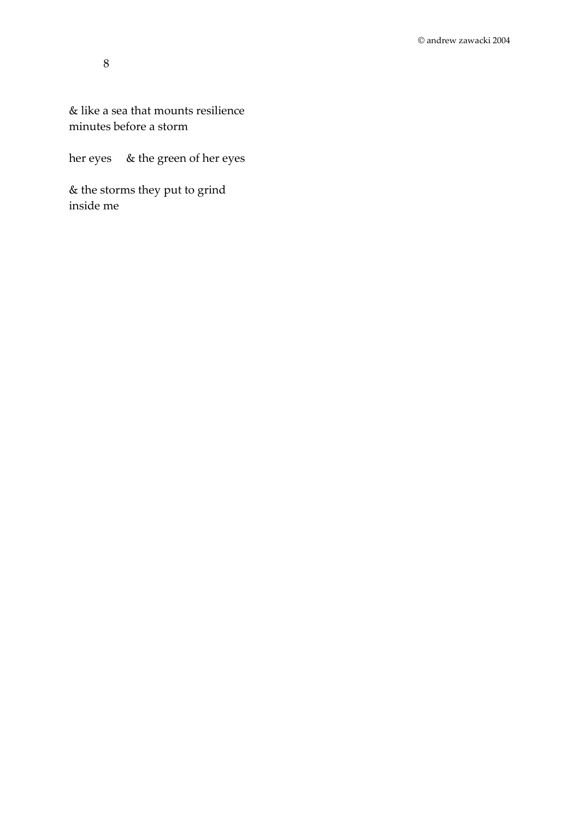#### & like a sea that mounts resilience minutes before a storm

her eyes & the green of her eyes

& the storms they put to grind inside me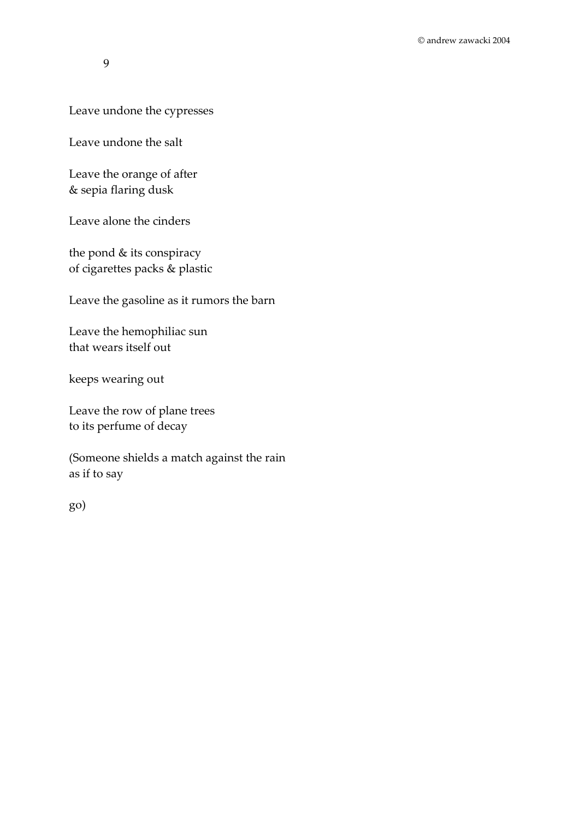#### Leave undone the cypresses

Leave undone the salt

Leave the orange of after & sepia flaring dusk

Leave alone the cinders

the pond & its conspiracy of cigarettes packs & plastic

Leave the gasoline as it rumors the barn

Leave the hemophiliac sun that wears itself out

keeps wearing out

Leave the row of plane trees to its perfume of decay

(Someone shields a match against the rain as if to say

go)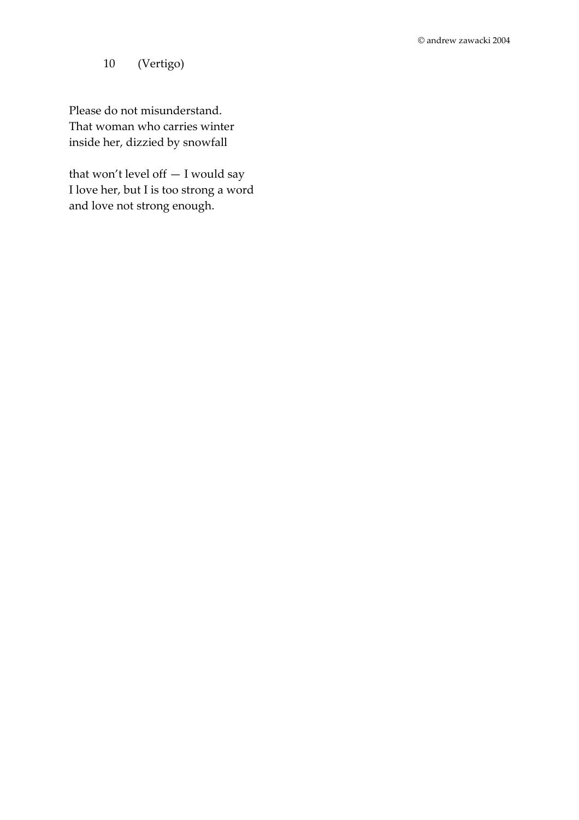10 (Vertigo)

Please do not misunderstand. That woman who carries winter inside her, dizzied by snowfall

that won't level off — I would say I love her, but I is too strong a word and love not strong enough.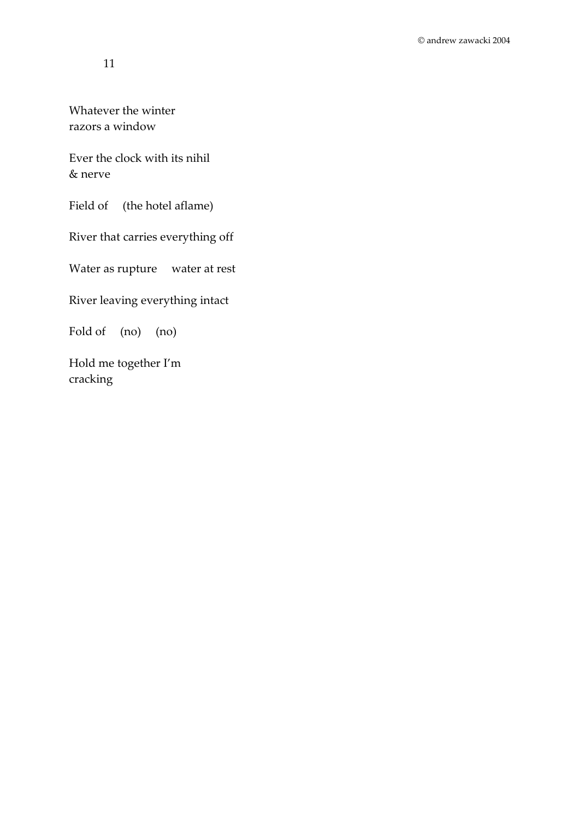Whatever the winter razors a window

Ever the clock with its nihil & nerve

Field of (the hotel aflame)

River that carries everything off

Water as rupture water at rest

River leaving everything intact

Fold of (no) (no)

Hold me together I'm cracking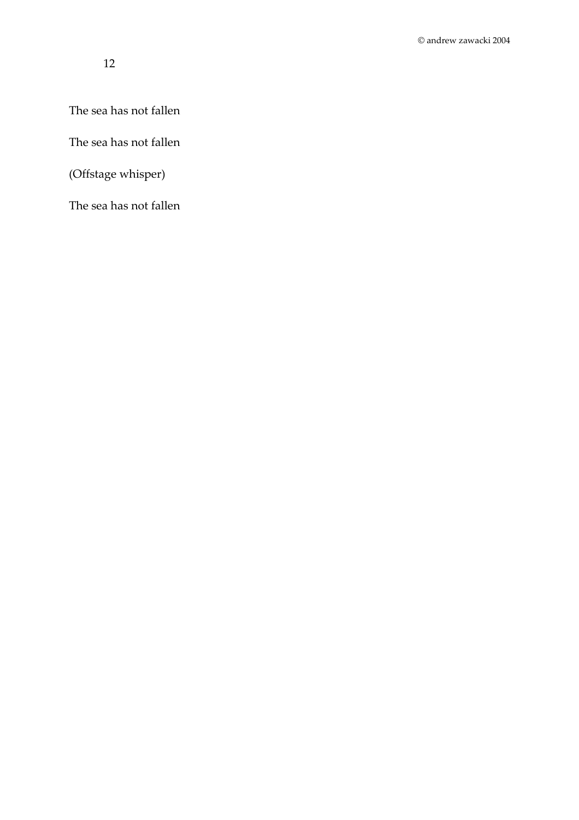The sea has not fallen

The sea has not fallen

(Offstage whisper)

The sea has not fallen